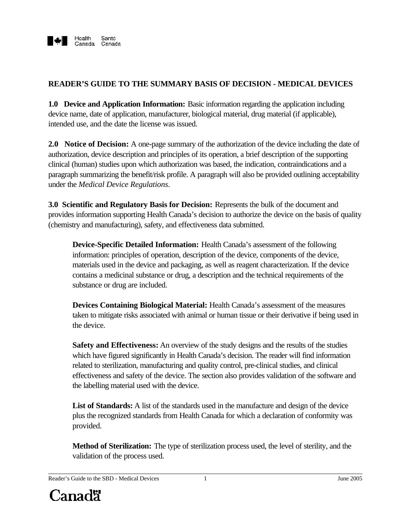

## **READER'S GUIDE TO THE SUMMARY BASIS OF DECISION - MEDICAL DEVICES**

**1.0 Device and Application Information:** Basic information regarding the application including device name, date of application, manufacturer, biological material, drug material (if applicable), intended use, and the date the license was issued.

**2.0 Notice of Decision:** A one-page summary of the authorization of the device including the date of authorization, device description and principles of its operation, a brief description of the supporting clinical (human) studies upon which authorization was based, the indication, contraindications and a paragraph summarizing the benefit/risk profile. A paragraph will also be provided outlining acceptability under the *Medical Device Regulations*.

**3.0 Scientific and Regulatory Basis for Decision:** Represents the bulk of the document and provides information supporting Health Canada's decision to authorize the device on the basis of quality (chemistry and manufacturing), safety, and effectiveness data submitted.

**Device-Specific Detailed Information:** Health Canada's assessment of the following information: principles of operation, description of the device, components of the device, materials used in the device and packaging, as well as reagent characterization. If the device contains a medicinal substance or drug, a description and the technical requirements of the substance or drug are included.

**Devices Containing Biological Material:** Health Canada's assessment of the measures taken to mitigate risks associated with animal or human tissue or their derivative if being used in the device.

**Safety and Effectiveness:** An overview of the study designs and the results of the studies which have figured significantly in Health Canada's decision. The reader will find information related to sterilization, manufacturing and quality control, pre-clinical studies, and clinical effectiveness and safety of the device. The section also provides validation of the software and the labelling material used with the device.

**List of Standards:** A list of the standards used in the manufacture and design of the device plus the recognized standards from Health Canada for which a declaration of conformity was provided.

**Method of Sterilization:** The type of sterilization process used, the level of sterility, and the validation of the process used.